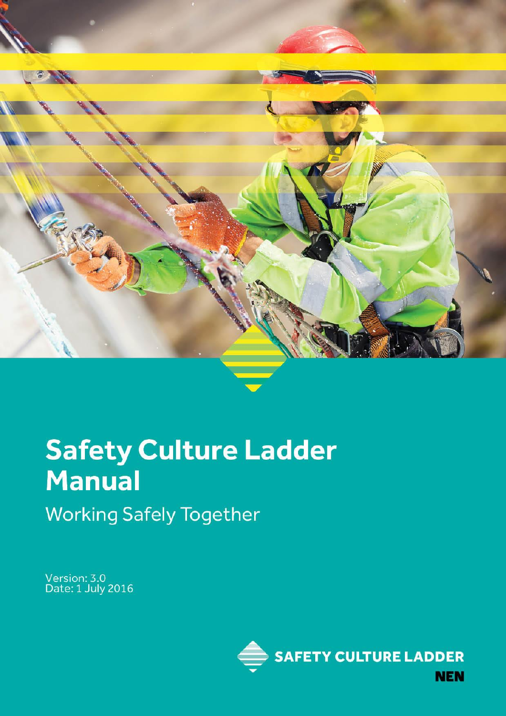

# **Safety Culture Ladder** Manual **Working Safely Together**

Version: 3.0<br>Date: 1 July 2016

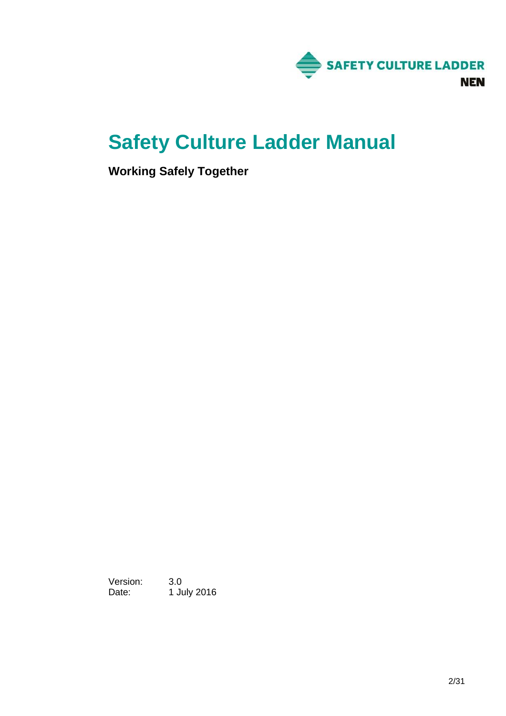

# **Safety Culture Ladder Manual**

**Working Safely Together**

Version: 3.0 Date: 1 July 2016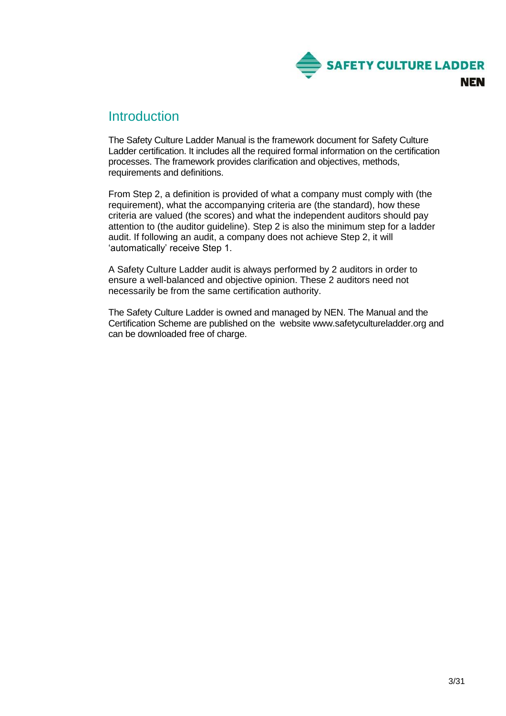

# **Introduction**

The Safety Culture Ladder Manual is the framework document for Safety Culture Ladder certification. It includes all the required formal information on the certification processes. The framework provides clarification and objectives, methods, requirements and definitions.

From Step 2, a definition is provided of what a company must comply with (the requirement), what the accompanying criteria are (the standard), how these criteria are valued (the scores) and what the independent auditors should pay attention to (the auditor guideline). Step 2 is also the minimum step for a ladder audit. If following an audit, a company does not achieve Step 2, it will 'automatically' receive Step 1.

A Safety Culture Ladder audit is always performed by 2 auditors in order to ensure a well-balanced and objective opinion. These 2 auditors need not necessarily be from the same certification authority.

The Safety Culture Ladder is owned and managed by NEN. The Manual and the Certification Scheme are published on the website www.safetycultureladder.org and can be downloaded free of charge.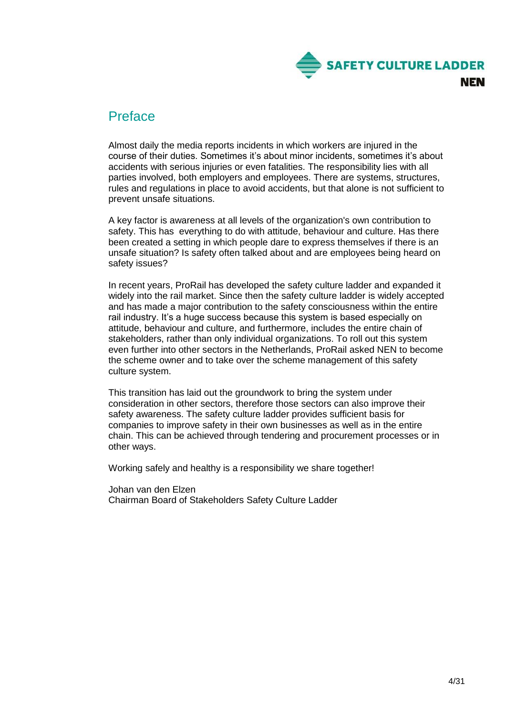

# Preface

Almost daily the media reports incidents in which workers are injured in the course of their duties. Sometimes it's about minor incidents, sometimes it's about accidents with serious injuries or even fatalities. The responsibility lies with all parties involved, both employers and employees. There are systems, structures, rules and regulations in place to avoid accidents, but that alone is not sufficient to prevent unsafe situations.

A key factor is awareness at all levels of the organization's own contribution to safety. This has everything to do with attitude, behaviour and culture. Has there been created a setting in which people dare to express themselves if there is an unsafe situation? Is safety often talked about and are employees being heard on safety issues?

In recent years, ProRail has developed the safety culture ladder and expanded it widely into the rail market. Since then the safety culture ladder is widely accepted and has made a major contribution to the safety consciousness within the entire rail industry. It's a huge success because this system is based especially on attitude, behaviour and culture, and furthermore, includes the entire chain of stakeholders, rather than only individual organizations. To roll out this system even further into other sectors in the Netherlands, ProRail asked NEN to become the scheme owner and to take over the scheme management of this safety culture system.

This transition has laid out the groundwork to bring the system under consideration in other sectors, therefore those sectors can also improve their safety awareness. The safety culture ladder provides sufficient basis for companies to improve safety in their own businesses as well as in the entire chain. This can be achieved through tendering and procurement processes or in other ways.

Working safely and healthy is a responsibility we share together!

Johan van den Elzen Chairman Board of Stakeholders Safety Culture Ladder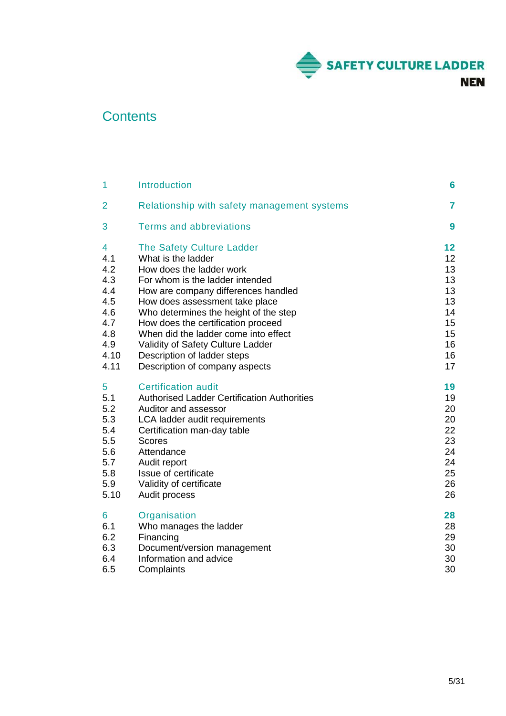

# **Contents**

| 1    | <b>Introduction</b>                                | 6  |
|------|----------------------------------------------------|----|
| 2    | Relationship with safety management systems        | 7  |
| 3    | <b>Terms and abbreviations</b>                     | 9  |
| 4    | The Safety Culture Ladder                          | 12 |
| 4.1  | What is the ladder                                 | 12 |
| 4.2  | How does the ladder work                           | 13 |
| 4.3  | For whom is the ladder intended                    | 13 |
| 4.4  | How are company differences handled                | 13 |
| 4.5  | How does assessment take place                     | 13 |
| 4.6  | Who determines the height of the step              | 14 |
| 4.7  | How does the certification proceed                 | 15 |
| 4.8  | When did the ladder come into effect               | 15 |
| 4.9  | Validity of Safety Culture Ladder                  | 16 |
| 4.10 | Description of ladder steps                        | 16 |
| 4.11 | Description of company aspects                     | 17 |
| 5    | <b>Certification audit</b>                         | 19 |
| 5.1  | <b>Authorised Ladder Certification Authorities</b> | 19 |
| 5.2  | Auditor and assessor                               | 20 |
| 5.3  | LCA ladder audit requirements                      | 20 |
| 5.4  | Certification man-day table                        | 22 |
| 5.5  | <b>Scores</b>                                      | 23 |
| 5.6  | Attendance                                         | 24 |
| 5.7  | Audit report                                       | 24 |
| 5.8  | Issue of certificate                               | 25 |
| 5.9  | Validity of certificate                            | 26 |
| 5.10 | Audit process                                      | 26 |
| 6    | Organisation                                       | 28 |
| 6.1  | Who manages the ladder                             | 28 |
| 6.2  | Financing                                          | 29 |
| 6.3  | Document/version management                        | 30 |
| 6.4  | Information and advice                             | 30 |
| 6.5  | Complaints                                         | 30 |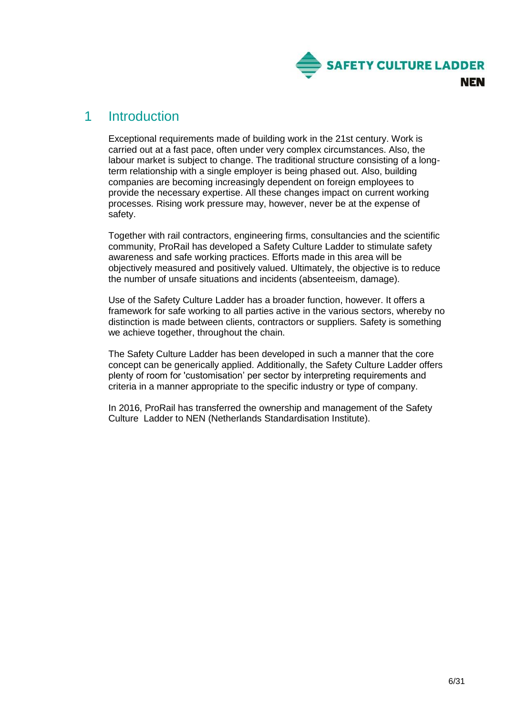

# <span id="page-5-0"></span>1 Introduction

Exceptional requirements made of building work in the 21st century. Work is carried out at a fast pace, often under very complex circumstances. Also, the labour market is subject to change. The traditional structure consisting of a longterm relationship with a single employer is being phased out. Also, building companies are becoming increasingly dependent on foreign employees to provide the necessary expertise. All these changes impact on current working processes. Rising work pressure may, however, never be at the expense of safety.

Together with rail contractors, engineering firms, consultancies and the scientific community, ProRail has developed a Safety Culture Ladder to stimulate safety awareness and safe working practices. Efforts made in this area will be objectively measured and positively valued. Ultimately, the objective is to reduce the number of unsafe situations and incidents (absenteeism, damage).

Use of the Safety Culture Ladder has a broader function, however. It offers a framework for safe working to all parties active in the various sectors, whereby no distinction is made between clients, contractors or suppliers. Safety is something we achieve together, throughout the chain.

The Safety Culture Ladder has been developed in such a manner that the core concept can be generically applied. Additionally, the Safety Culture Ladder offers plenty of room for 'customisation' per sector by interpreting requirements and criteria in a manner appropriate to the specific industry or type of company.

In 2016, ProRail has transferred the ownership and management of the Safety Culture Ladder to NEN (Netherlands Standardisation Institute).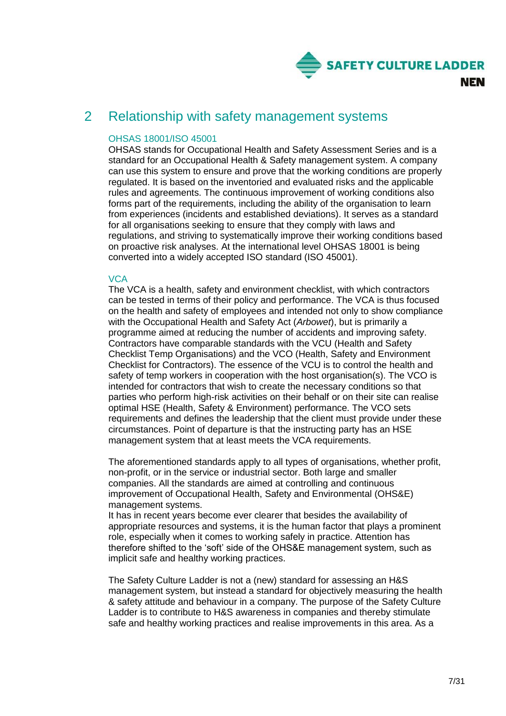

# <span id="page-6-0"></span>2 Relationship with safety management systems

# OHSAS 18001/ISO 45001

OHSAS stands for Occupational Health and Safety Assessment Series and is a standard for an Occupational Health & Safety management system. A company can use this system to ensure and prove that the working conditions are properly regulated. It is based on the inventoried and evaluated risks and the applicable rules and agreements. The continuous improvement of working conditions also forms part of the requirements, including the ability of the organisation to learn from experiences (incidents and established deviations). It serves as a standard for all organisations seeking to ensure that they comply with laws and regulations, and striving to systematically improve their working conditions based on proactive risk analyses. At the international level OHSAS 18001 is being converted into a widely accepted ISO standard (ISO 45001).

# **VCA**

The VCA is a health, safety and environment checklist, with which contractors can be tested in terms of their policy and performance. The VCA is thus focused on the health and safety of employees and intended not only to show compliance with the Occupational Health and Safety Act (*Arbowet*), but is primarily a programme aimed at reducing the number of accidents and improving safety. Contractors have comparable standards with the VCU (Health and Safety Checklist Temp Organisations) and the VCO (Health, Safety and Environment Checklist for Contractors). The essence of the VCU is to control the health and safety of temp workers in cooperation with the host organisation(s). The VCO is intended for contractors that wish to create the necessary conditions so that parties who perform high-risk activities on their behalf or on their site can realise optimal HSE (Health, Safety & Environment) performance. The VCO sets requirements and defines the leadership that the client must provide under these circumstances. Point of departure is that the instructing party has an HSE management system that at least meets the VCA requirements.

The aforementioned standards apply to all types of organisations, whether profit, non-profit, or in the service or industrial sector. Both large and smaller companies. All the standards are aimed at controlling and continuous improvement of Occupational Health, Safety and Environmental (OHS&E) management systems.

It has in recent years become ever clearer that besides the availability of appropriate resources and systems, it is the human factor that plays a prominent role, especially when it comes to working safely in practice. Attention has therefore shifted to the 'soft' side of the OHS&E management system, such as implicit safe and healthy working practices.

The Safety Culture Ladder is not a (new) standard for assessing an H&S management system, but instead a standard for objectively measuring the health & safety attitude and behaviour in a company. The purpose of the Safety Culture Ladder is to contribute to H&S awareness in companies and thereby stimulate safe and healthy working practices and realise improvements in this area. As a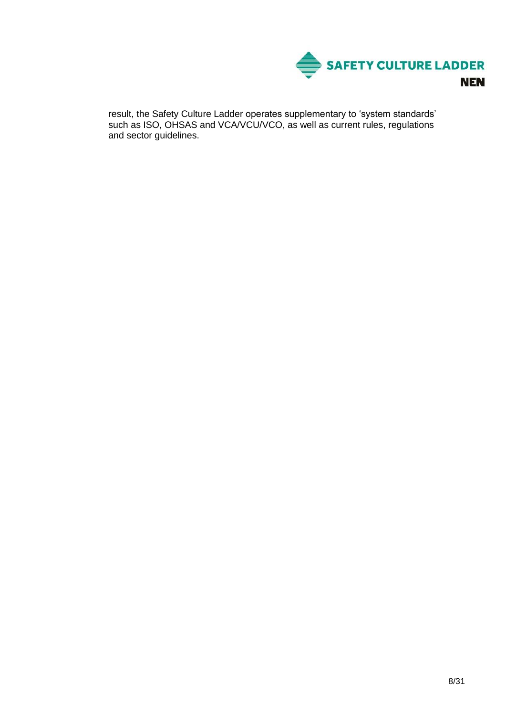

result, the Safety Culture Ladder operates supplementary to 'system standards' such as ISO, OHSAS and VCA/VCU/VCO, as well as current rules, regulations and sector guidelines.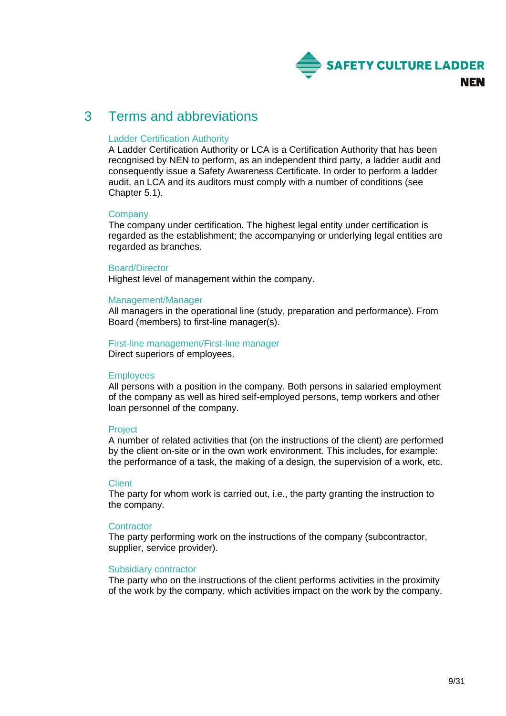

# <span id="page-8-0"></span>3 Terms and abbreviations

# Ladder Certification Authority

A Ladder Certification Authority or LCA is a Certification Authority that has been recognised by NEN to perform, as an independent third party, a ladder audit and consequently issue a Safety Awareness Certificate. In order to perform a ladder audit, an LCA and its auditors must comply with a number of conditions (see Chapter 5.1).

# **Company**

The company under certification. The highest legal entity under certification is regarded as the establishment; the accompanying or underlying legal entities are regarded as branches.

# Board/Director

Highest level of management within the company.

# Management/Manager

All managers in the operational line (study, preparation and performance). From Board (members) to first-line manager(s).

#### First-line management/First-line manager Direct superiors of employees.

# **Employees**

All persons with a position in the company. Both persons in salaried employment of the company as well as hired self-employed persons, temp workers and other loan personnel of the company.

# **Project**

A number of related activities that (on the instructions of the client) are performed by the client on-site or in the own work environment. This includes, for example: the performance of a task, the making of a design, the supervision of a work, etc.

# **Client**

The party for whom work is carried out, i.e., the party granting the instruction to the company.

# **Contractor**

The party performing work on the instructions of the company (subcontractor, supplier, service provider).

# Subsidiary contractor

The party who on the instructions of the client performs activities in the proximity of the work by the company, which activities impact on the work by the company.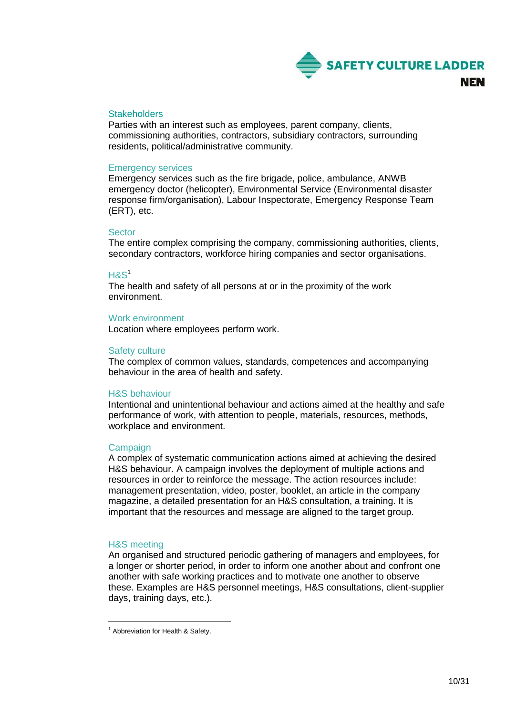

# **Stakeholders**

Parties with an interest such as employees, parent company, clients, commissioning authorities, contractors, subsidiary contractors, surrounding residents, political/administrative community.

#### Emergency services

Emergency services such as the fire brigade, police, ambulance, ANWB emergency doctor (helicopter), Environmental Service (Environmental disaster response firm/organisation), Labour Inspectorate, Emergency Response Team (ERT), etc.

#### Sector

The entire complex comprising the company, commissioning authorities, clients, secondary contractors, workforce hiring companies and sector organisations.

#### $HAS<sup>1</sup>$

The health and safety of all persons at or in the proximity of the work environment.

#### Work environment

Location where employees perform work.

#### Safety culture

The complex of common values, standards, competences and accompanying behaviour in the area of health and safety.

#### H&S behaviour

Intentional and unintentional behaviour and actions aimed at the healthy and safe performance of work, with attention to people, materials, resources, methods, workplace and environment.

#### Campaign

A complex of systematic communication actions aimed at achieving the desired H&S behaviour. A campaign involves the deployment of multiple actions and resources in order to reinforce the message. The action resources include: management presentation, video, poster, booklet, an article in the company magazine, a detailed presentation for an H&S consultation, a training. It is important that the resources and message are aligned to the target group.

#### H&S meeting

1

An organised and structured periodic gathering of managers and employees, for a longer or shorter period, in order to inform one another about and confront one another with safe working practices and to motivate one another to observe these. Examples are H&S personnel meetings, H&S consultations, client-supplier days, training days, etc.).

<sup>&</sup>lt;sup>1</sup> Abbreviation for Health & Safety.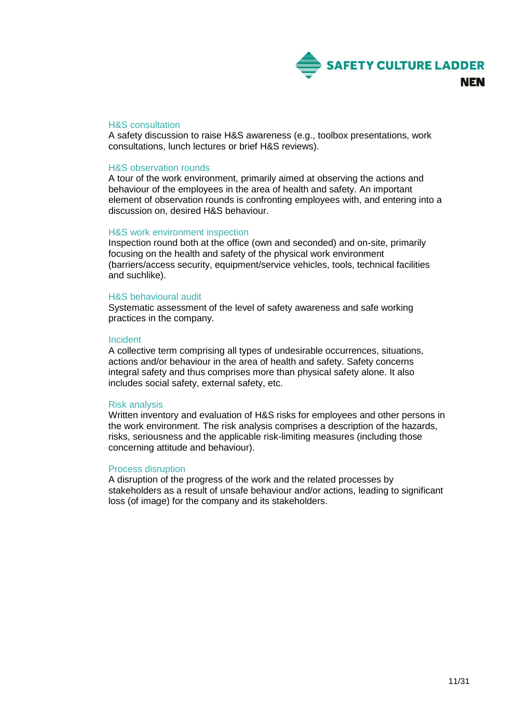

#### H&S consultation

A safety discussion to raise H&S awareness (e.g., toolbox presentations, work consultations, lunch lectures or brief H&S reviews).

#### H&S observation rounds

A tour of the work environment, primarily aimed at observing the actions and behaviour of the employees in the area of health and safety. An important element of observation rounds is confronting employees with, and entering into a discussion on, desired H&S behaviour.

#### H&S work environment inspection

Inspection round both at the office (own and seconded) and on-site, primarily focusing on the health and safety of the physical work environment (barriers/access security, equipment/service vehicles, tools, technical facilities and suchlike).

#### H&S behavioural audit

Systematic assessment of the level of safety awareness and safe working practices in the company.

#### Incident

A collective term comprising all types of undesirable occurrences, situations, actions and/or behaviour in the area of health and safety. Safety concerns integral safety and thus comprises more than physical safety alone. It also includes social safety, external safety, etc.

#### Risk analysis

Written inventory and evaluation of H&S risks for employees and other persons in the work environment. The risk analysis comprises a description of the hazards, risks, seriousness and the applicable risk-limiting measures (including those concerning attitude and behaviour).

#### Process disruption

A disruption of the progress of the work and the related processes by stakeholders as a result of unsafe behaviour and/or actions, leading to significant loss (of image) for the company and its stakeholders.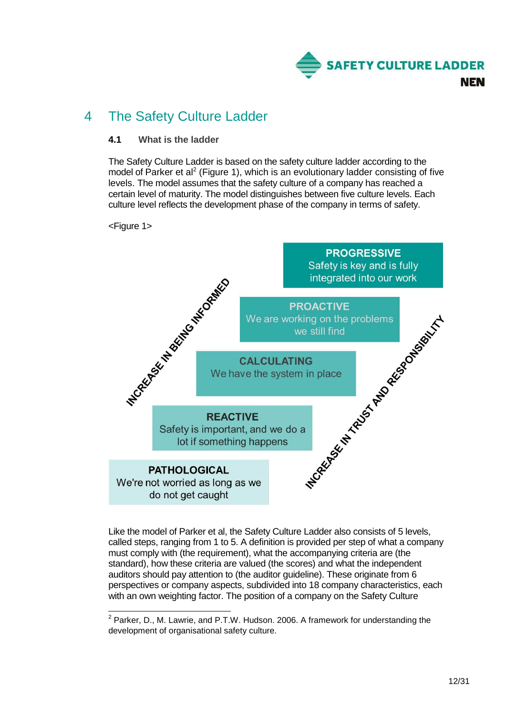

# <span id="page-11-0"></span>4 The Safety Culture Ladder

# <span id="page-11-1"></span>**4.1 What is the ladder**

The Safety Culture Ladder is based on the safety culture ladder according to the model of Parker et al<sup>2</sup> (Figure 1), which is an evolutionary ladder consisting of five levels. The model assumes that the safety culture of a company has reached a certain level of maturity. The model distinguishes between five culture levels. Each culture level reflects the development phase of the company in terms of safety.

<Figure 1>

1



Like the model of Parker et al, the Safety Culture Ladder also consists of 5 levels, called steps, ranging from 1 to 5. A definition is provided per step of what a company must comply with (the requirement), what the accompanying criteria are (the standard), how these criteria are valued (the scores) and what the independent auditors should pay attention to (the auditor guideline). These originate from 6 perspectives or company aspects, subdivided into 18 company characteristics, each with an own weighting factor. The position of a company on the Safety Culture

 $2$  Parker, D., M. Lawrie, and P.T.W. Hudson. 2006. A framework for understanding the development of organisational safety culture*.*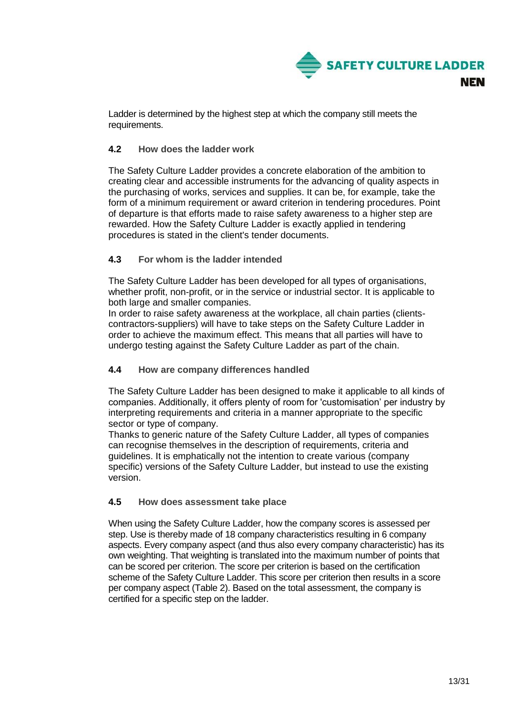

Ladder is determined by the highest step at which the company still meets the requirements.

# <span id="page-12-0"></span>**4.2 How does the ladder work**

The Safety Culture Ladder provides a concrete elaboration of the ambition to creating clear and accessible instruments for the advancing of quality aspects in the purchasing of works, services and supplies. It can be, for example, take the form of a minimum requirement or award criterion in tendering procedures. Point of departure is that efforts made to raise safety awareness to a higher step are rewarded. How the Safety Culture Ladder is exactly applied in tendering procedures is stated in the client's tender documents.

# <span id="page-12-1"></span>**4.3 For whom is the ladder intended**

The Safety Culture Ladder has been developed for all types of organisations, whether profit, non-profit, or in the service or industrial sector. It is applicable to both large and smaller companies.

In order to raise safety awareness at the workplace, all chain parties (clientscontractors-suppliers) will have to take steps on the Safety Culture Ladder in order to achieve the maximum effect. This means that all parties will have to undergo testing against the Safety Culture Ladder as part of the chain.

# <span id="page-12-2"></span>**4.4 How are company differences handled**

The Safety Culture Ladder has been designed to make it applicable to all kinds of companies. Additionally, it offers plenty of room for 'customisation' per industry by interpreting requirements and criteria in a manner appropriate to the specific sector or type of company.

Thanks to generic nature of the Safety Culture Ladder, all types of companies can recognise themselves in the description of requirements, criteria and guidelines. It is emphatically not the intention to create various (company specific) versions of the Safety Culture Ladder, but instead to use the existing version.

# <span id="page-12-3"></span>**4.5 How does assessment take place**

When using the Safety Culture Ladder, how the company scores is assessed per step. Use is thereby made of 18 company characteristics resulting in 6 company aspects. Every company aspect (and thus also every company characteristic) has its own weighting. That weighting is translated into the maximum number of points that can be scored per criterion. The score per criterion is based on the certification scheme of the Safety Culture Ladder. This score per criterion then results in a score per company aspect (Table 2). Based on the total assessment, the company is certified for a specific step on the ladder.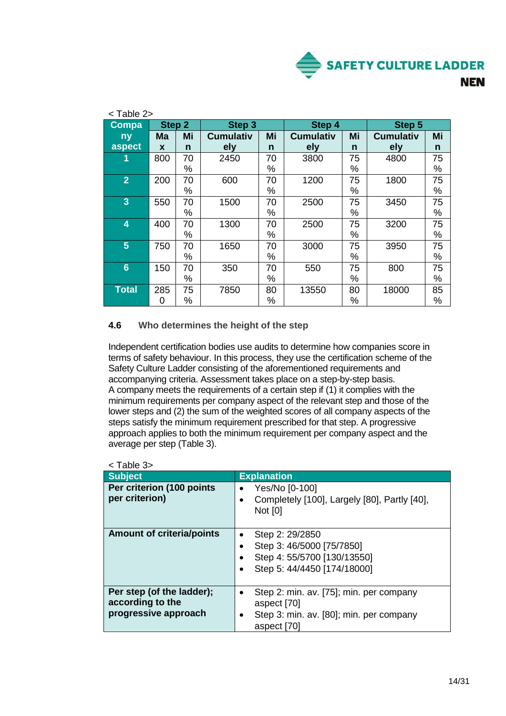

| <table 2=""></table>          |     |        |                  |        |                  |               |                  |      |
|-------------------------------|-----|--------|------------------|--------|------------------|---------------|------------------|------|
| <b>Step 2</b><br><b>Compa</b> |     | Step 3 |                  | Step 4 |                  | <b>Step 5</b> |                  |      |
| ny                            | Ma  | Mi     | <b>Cumulativ</b> | Mi     | <b>Cumulativ</b> | Mi            | <b>Cumulativ</b> | Mi   |
| aspect                        | X   | n      | ely              | n      | ely              | n             | ely              | n    |
| 1                             | 800 | 70     | 2450             | 70     | 3800             | 75            | 4800             | 75   |
|                               |     | %      |                  | %      |                  | %             |                  | %    |
| $\overline{2}$                | 200 | 70     | 600              | 70     | 1200             | 75            | 1800             | 75   |
|                               |     | %      |                  | %      |                  | %             |                  | %    |
| $\overline{3}$                | 550 | 70     | 1500             | 70     | 2500             | 75            | 3450             | 75   |
|                               |     | %      |                  | %      |                  | %             |                  | %    |
| 4                             | 400 | 70     | 1300             | 70     | 2500             | 75            | 3200             | 75   |
|                               |     | %      |                  | %      |                  | ℅             |                  | %    |
| 5                             | 750 | 70     | 1650             | 70     | 3000             | 75            | 3950             | 75   |
|                               |     | %      |                  | %      |                  | $\%$          |                  | %    |
| $6\phantom{1}6$               | 150 | 70     | 350              | 70     | 550              | 75            | 800              | 75   |
|                               |     | %      |                  | %      |                  | %             |                  | $\%$ |
| <b>Total</b>                  | 285 | 75     | 7850             | 80     | 13550            | 80            | 18000            | 85   |
|                               | 0   | %      |                  | %      |                  | %             |                  | %    |

# <span id="page-13-0"></span>**4.6 Who determines the height of the step**

Independent certification bodies use audits to determine how companies score in terms of safety behaviour. In this process, they use the certification scheme of the Safety Culture Ladder consisting of the aforementioned requirements and accompanying criteria. Assessment takes place on a step-by-step basis. A company meets the requirements of a certain step if (1) it complies with the minimum requirements per company aspect of the relevant step and those of the lower steps and (2) the sum of the weighted scores of all company aspects of the steps satisfy the minimum requirement prescribed for that step. A progressive approach applies to both the minimum requirement per company aspect and the average per step (Table 3).

| $\sim$ 0.000 $\sim$                                                   |                                                                                                                       |
|-----------------------------------------------------------------------|-----------------------------------------------------------------------------------------------------------------------|
| <b>Subject</b>                                                        | <b>Explanation</b>                                                                                                    |
| Per criterion (100 points<br>per criterion)                           | Yes/No [0-100]<br>Completely [100], Largely [80], Partly [40],<br><b>Not [0]</b>                                      |
| <b>Amount of criteria/points</b>                                      | Step 2: 29/2850<br>Step 3: 46/5000 [75/7850]<br>Step 4: 55/5700 [130/13550]<br>Step 5: 44/4450 [174/18000]            |
| Per step (of the ladder);<br>according to the<br>progressive approach | Step 2: min. av. [75]; min. per company<br>aspect [70]<br>Step 3: min. av. [80]; min. per company<br>٠<br>aspect [70] |

|--|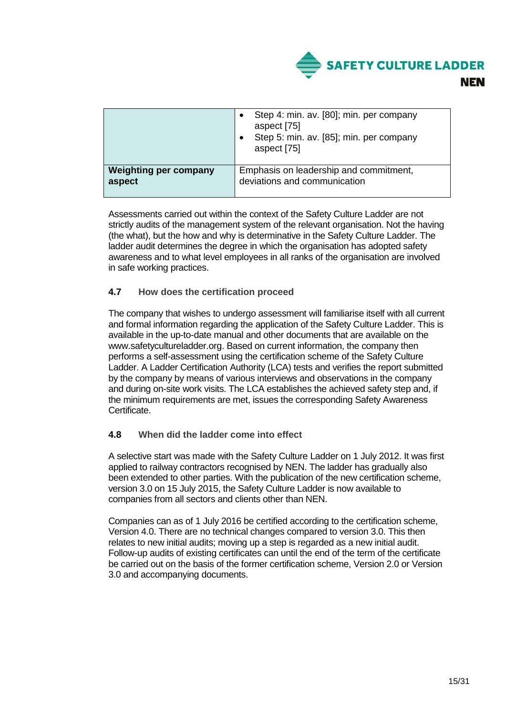

|                              | Step 4: min. av. [80]; min. per company<br>aspect [75]<br>Step 5: min. av. [85]; min. per company<br>aspect [75] |
|------------------------------|------------------------------------------------------------------------------------------------------------------|
| <b>Weighting per company</b> | Emphasis on leadership and commitment,                                                                           |
| aspect                       | deviations and communication                                                                                     |

Assessments carried out within the context of the Safety Culture Ladder are not strictly audits of the management system of the relevant organisation. Not the having (the what), but the how and why is determinative in the Safety Culture Ladder. The ladder audit determines the degree in which the organisation has adopted safety awareness and to what level employees in all ranks of the organisation are involved in safe working practices.

# <span id="page-14-0"></span>**4.7 How does the certification proceed**

The company that wishes to undergo assessment will familiarise itself with all current and formal information regarding the application of the Safety Culture Ladder. This is available in the up-to-date manual and other documents that are available on the www.safetycultureladder.org. Based on current information, the company then performs a self-assessment using the certification scheme of the Safety Culture Ladder. A Ladder Certification Authority (LCA) tests and verifies the report submitted by the company by means of various interviews and observations in the company and during on-site work visits. The LCA establishes the achieved safety step and, if the minimum requirements are met, issues the corresponding Safety Awareness Certificate.

# <span id="page-14-1"></span>**4.8 When did the ladder come into effect**

A selective start was made with the Safety Culture Ladder on 1 July 2012. It was first applied to railway contractors recognised by NEN. The ladder has gradually also been extended to other parties. With the publication of the new certification scheme, version 3.0 on 15 July 2015, the Safety Culture Ladder is now available to companies from all sectors and clients other than NEN.

Companies can as of 1 July 2016 be certified according to the certification scheme, Version 4.0. There are no technical changes compared to version 3.0. This then relates to new initial audits; moving up a step is regarded as a new initial audit. Follow-up audits of existing certificates can until the end of the term of the certificate be carried out on the basis of the former certification scheme, Version 2.0 or Version 3.0 and accompanying documents.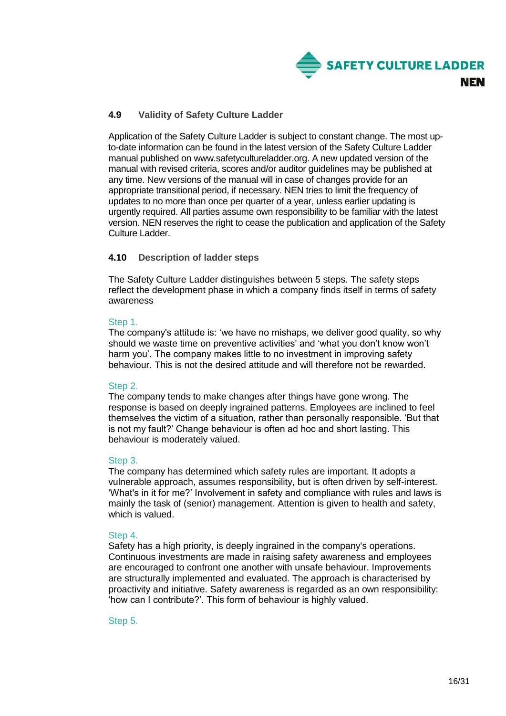

# <span id="page-15-0"></span>**4.9 Validity of Safety Culture Ladder**

Application of the Safety Culture Ladder is subject to constant change. The most upto-date information can be found in the latest version of the Safety Culture Ladder manual published on www.safetycultureladder.org. A new updated version of the manual with revised criteria, scores and/or auditor guidelines may be published at any time. New versions of the manual will in case of changes provide for an appropriate transitional period, if necessary. NEN tries to limit the frequency of updates to no more than once per quarter of a year, unless earlier updating is urgently required. All parties assume own responsibility to be familiar with the latest version. NEN reserves the right to cease the publication and application of the Safety Culture Ladder.

# <span id="page-15-1"></span>**4.10 Description of ladder steps**

The Safety Culture Ladder distinguishes between 5 steps. The safety steps reflect the development phase in which a company finds itself in terms of safety awareness

# Step 1.

The company's attitude is: 'we have no mishaps, we deliver good quality, so why should we waste time on preventive activities' and 'what you don't know won't harm you'. The company makes little to no investment in improving safety behaviour. This is not the desired attitude and will therefore not be rewarded.

# Step 2.

The company tends to make changes after things have gone wrong. The response is based on deeply ingrained patterns. Employees are inclined to feel themselves the victim of a situation, rather than personally responsible. 'But that is not my fault?' Change behaviour is often ad hoc and short lasting. This behaviour is moderately valued.

# Step 3.

The company has determined which safety rules are important. It adopts a vulnerable approach, assumes responsibility, but is often driven by self-interest. 'What's in it for me?' Involvement in safety and compliance with rules and laws is mainly the task of (senior) management. Attention is given to health and safety, which is valued.

# Step 4.

Safety has a high priority, is deeply ingrained in the company's operations. Continuous investments are made in raising safety awareness and employees are encouraged to confront one another with unsafe behaviour. Improvements are structurally implemented and evaluated. The approach is characterised by proactivity and initiative. Safety awareness is regarded as an own responsibility: 'how can I contribute?'. This form of behaviour is highly valued.

# Step 5.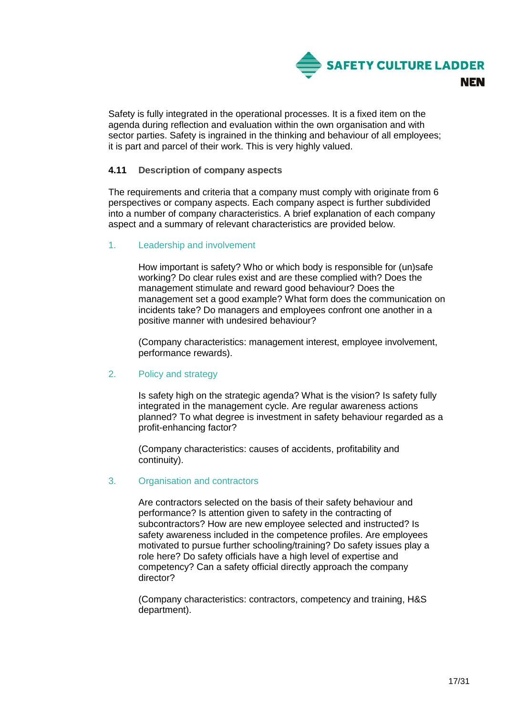

Safety is fully integrated in the operational processes. It is a fixed item on the agenda during reflection and evaluation within the own organisation and with sector parties. Safety is ingrained in the thinking and behaviour of all employees; it is part and parcel of their work. This is very highly valued.

# <span id="page-16-0"></span>**4.11 Description of company aspects**

The requirements and criteria that a company must comply with originate from 6 perspectives or company aspects. Each company aspect is further subdivided into a number of company characteristics. A brief explanation of each company aspect and a summary of relevant characteristics are provided below.

# 1. Leadership and involvement

How important is safety? Who or which body is responsible for (un)safe working? Do clear rules exist and are these complied with? Does the management stimulate and reward good behaviour? Does the management set a good example? What form does the communication on incidents take? Do managers and employees confront one another in a positive manner with undesired behaviour?

(Company characteristics: management interest, employee involvement, performance rewards).

# 2. Policy and strategy

Is safety high on the strategic agenda? What is the vision? Is safety fully integrated in the management cycle. Are regular awareness actions planned? To what degree is investment in safety behaviour regarded as a profit-enhancing factor?

(Company characteristics: causes of accidents, profitability and continuity).

# 3. Organisation and contractors

Are contractors selected on the basis of their safety behaviour and performance? Is attention given to safety in the contracting of subcontractors? How are new employee selected and instructed? Is safety awareness included in the competence profiles. Are employees motivated to pursue further schooling/training? Do safety issues play a role here? Do safety officials have a high level of expertise and competency? Can a safety official directly approach the company director?

(Company characteristics: contractors, competency and training, H&S department).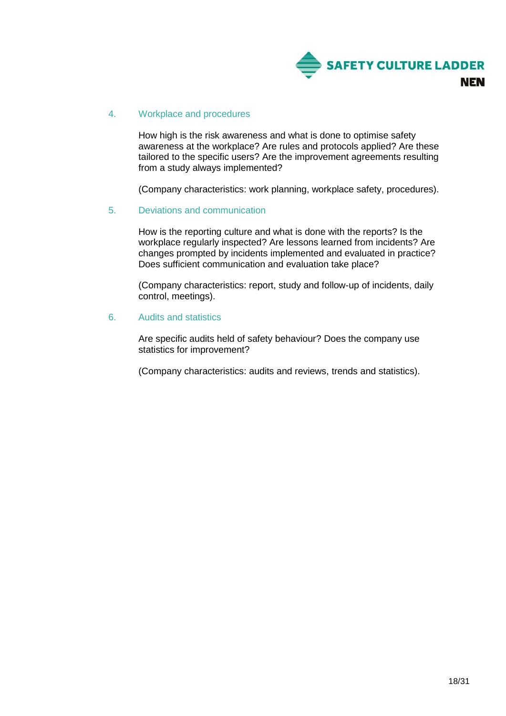

# 4. Workplace and procedures

How high is the risk awareness and what is done to optimise safety awareness at the workplace? Are rules and protocols applied? Are these tailored to the specific users? Are the improvement agreements resulting from a study always implemented?

(Company characteristics: work planning, workplace safety, procedures).

# 5. Deviations and communication

How is the reporting culture and what is done with the reports? Is the workplace regularly inspected? Are lessons learned from incidents? Are changes prompted by incidents implemented and evaluated in practice? Does sufficient communication and evaluation take place?

(Company characteristics: report, study and follow-up of incidents, daily control, meetings).

#### 6. Audits and statistics

Are specific audits held of safety behaviour? Does the company use statistics for improvement?

(Company characteristics: audits and reviews, trends and statistics).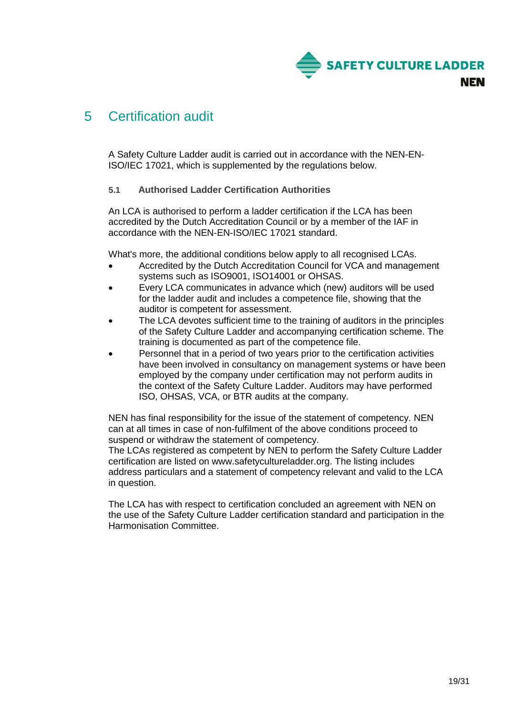

# <span id="page-18-0"></span>5 Certification audit

A Safety Culture Ladder audit is carried out in accordance with the NEN-EN-ISO/IEC 17021, which is supplemented by the regulations below.

# <span id="page-18-1"></span>**5.1 Authorised Ladder Certification Authorities**

An LCA is authorised to perform a ladder certification if the LCA has been accredited by the Dutch Accreditation Council or by a member of the IAF in accordance with the NEN-EN-ISO/IEC 17021 standard.

What's more, the additional conditions below apply to all recognised LCAs.

- Accredited by the Dutch Accreditation Council for VCA and management systems such as ISO9001, ISO14001 or OHSAS.
- Every LCA communicates in advance which (new) auditors will be used for the ladder audit and includes a competence file, showing that the auditor is competent for assessment.
- The LCA devotes sufficient time to the training of auditors in the principles of the Safety Culture Ladder and accompanying certification scheme. The training is documented as part of the competence file.
- Personnel that in a period of two years prior to the certification activities have been involved in consultancy on management systems or have been employed by the company under certification may not perform audits in the context of the Safety Culture Ladder. Auditors may have performed ISO, OHSAS, VCA, or BTR audits at the company.

NEN has final responsibility for the issue of the statement of competency. NEN can at all times in case of non-fulfilment of the above conditions proceed to suspend or withdraw the statement of competency.

The LCAs registered as competent by NEN to perform the Safety Culture Ladder certification are listed on www.safetycultureladder.org. The listing includes address particulars and a statement of competency relevant and valid to the LCA in question.

The LCA has with respect to certification concluded an agreement with NEN on the use of the Safety Culture Ladder certification standard and participation in the Harmonisation Committee.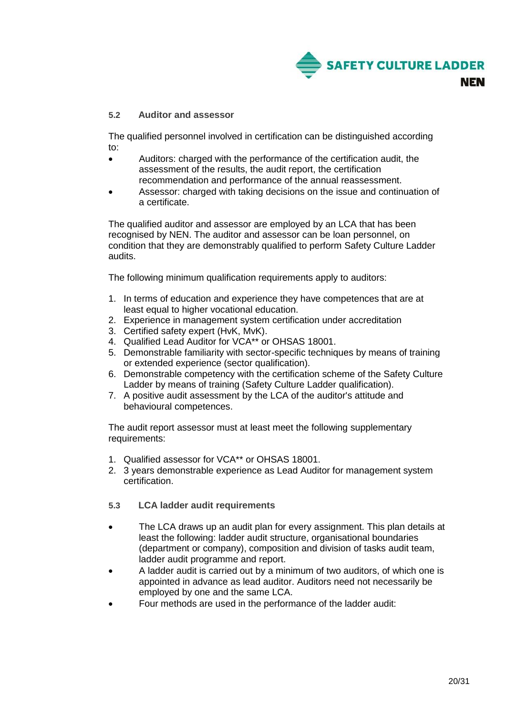

# <span id="page-19-0"></span>**5.2 Auditor and assessor**

The qualified personnel involved in certification can be distinguished according to:

- Auditors: charged with the performance of the certification audit, the assessment of the results, the audit report, the certification recommendation and performance of the annual reassessment.
- Assessor: charged with taking decisions on the issue and continuation of a certificate.

The qualified auditor and assessor are employed by an LCA that has been recognised by NEN. The auditor and assessor can be loan personnel, on condition that they are demonstrably qualified to perform Safety Culture Ladder audits.

The following minimum qualification requirements apply to auditors:

- 1. In terms of education and experience they have competences that are at least equal to higher vocational education.
- 2. Experience in management system certification under accreditation
- 3. Certified safety expert (HvK, MvK).
- 4. Qualified Lead Auditor for VCA\*\* or OHSAS 18001.
- 5. Demonstrable familiarity with sector-specific techniques by means of training or extended experience (sector qualification).
- 6. Demonstrable competency with the certification scheme of the Safety Culture Ladder by means of training (Safety Culture Ladder qualification).
- 7. A positive audit assessment by the LCA of the auditor's attitude and behavioural competences.

The audit report assessor must at least meet the following supplementary requirements:

- 1. Qualified assessor for VCA\*\* or OHSAS 18001.
- 2. 3 years demonstrable experience as Lead Auditor for management system certification.
- <span id="page-19-1"></span>**5.3 LCA ladder audit requirements**
- The LCA draws up an audit plan for every assignment. This plan details at least the following: ladder audit structure, organisational boundaries (department or company), composition and division of tasks audit team, ladder audit programme and report.
- A ladder audit is carried out by a minimum of two auditors, of which one is appointed in advance as lead auditor. Auditors need not necessarily be employed by one and the same LCA.
- Four methods are used in the performance of the ladder audit: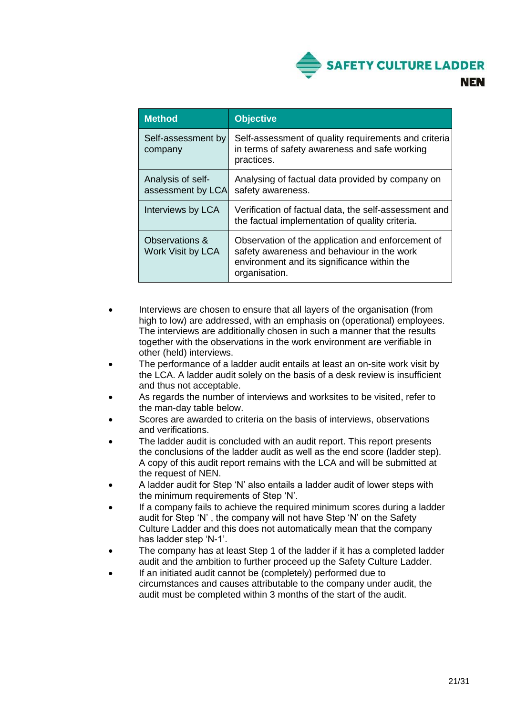

| <b>Method</b>                          | <b>Objective</b>                                                                                                                                                |
|----------------------------------------|-----------------------------------------------------------------------------------------------------------------------------------------------------------------|
| Self-assessment by<br>company          | Self-assessment of quality requirements and criteria<br>in terms of safety awareness and safe working<br>practices.                                             |
| Analysis of self-<br>assessment by LCA | Analysing of factual data provided by company on<br>safety awareness.                                                                                           |
| Interviews by LCA                      | Verification of factual data, the self-assessment and<br>the factual implementation of quality criteria.                                                        |
| Observations &<br>Work Visit by LCA    | Observation of the application and enforcement of<br>safety awareness and behaviour in the work<br>environment and its significance within the<br>organisation. |

- Interviews are chosen to ensure that all layers of the organisation (from high to low) are addressed, with an emphasis on (operational) employees. The interviews are additionally chosen in such a manner that the results together with the observations in the work environment are verifiable in other (held) interviews.
- The performance of a ladder audit entails at least an on-site work visit by the LCA. A ladder audit solely on the basis of a desk review is insufficient and thus not acceptable.
- As regards the number of interviews and worksites to be visited, refer to the man-day table below.
- Scores are awarded to criteria on the basis of interviews, observations and verifications.
- The ladder audit is concluded with an audit report. This report presents the conclusions of the ladder audit as well as the end score (ladder step). A copy of this audit report remains with the LCA and will be submitted at the request of NEN.
- A ladder audit for Step 'N' also entails a ladder audit of lower steps with the minimum requirements of Step 'N'.
- If a company fails to achieve the required minimum scores during a ladder audit for Step 'N' , the company will not have Step 'N' on the Safety Culture Ladder and this does not automatically mean that the company has ladder step 'N-1'.
- The company has at least Step 1 of the ladder if it has a completed ladder audit and the ambition to further proceed up the Safety Culture Ladder.
- <span id="page-20-0"></span> If an initiated audit cannot be (completely) performed due to circumstances and causes attributable to the company under audit, the audit must be completed within 3 months of the start of the audit.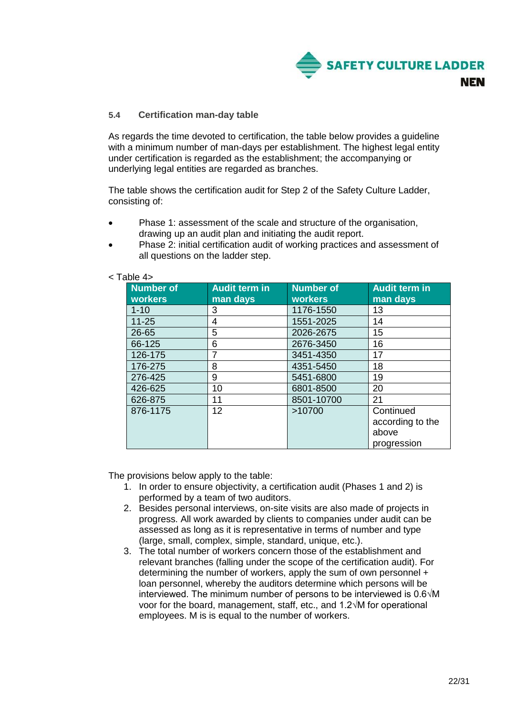

# **5.4 Certification man-day table**

As regards the time devoted to certification, the table below provides a guideline with a minimum number of man-days per establishment. The highest legal entity under certification is regarded as the establishment; the accompanying or underlying legal entities are regarded as branches.

The table shows the certification audit for Step 2 of the Safety Culture Ladder, consisting of:

- Phase 1: assessment of the scale and structure of the organisation, drawing up an audit plan and initiating the audit report.
- Phase 2: initial certification audit of working practices and assessment of all questions on the ladder step.

| <b>Number of</b><br><b>workers</b> | <b>Audit term in</b><br>man days | <b>Number of</b><br><b>workers</b> | <b>Audit term in</b><br>man days                      |
|------------------------------------|----------------------------------|------------------------------------|-------------------------------------------------------|
| $1 - 10$                           | 3                                | 1176-1550                          | 13                                                    |
| $11 - 25$                          | 4                                | 1551-2025                          | 14                                                    |
| 26-65                              | 5                                | 2026-2675                          | 15                                                    |
| 66-125                             | 6                                | 2676-3450                          | 16                                                    |
| 126-175                            | 7                                | 3451-4350                          | 17                                                    |
| 176-275                            | 8                                | 4351-5450                          | 18                                                    |
| 276-425                            | 9                                | 5451-6800                          | 19                                                    |
| 426-625                            | 10                               | 6801-8500                          | 20                                                    |
| 626-875                            | 11                               | 8501-10700                         | 21                                                    |
| 876-1175                           | 12 <sub>2</sub>                  | >10700                             | Continued<br>according to the<br>above<br>progression |

# < Table 4>

The provisions below apply to the table:

- 1. In order to ensure objectivity, a certification audit (Phases 1 and 2) is performed by a team of two auditors.
- 2. Besides personal interviews, on-site visits are also made of projects in progress. All work awarded by clients to companies under audit can be assessed as long as it is representative in terms of number and type (large, small, complex, simple, standard, unique, etc.).
- 3. The total number of workers concern those of the establishment and relevant branches (falling under the scope of the certification audit). For determining the number of workers, apply the sum of own personnel + loan personnel, whereby the auditors determine which persons will be interviewed. The minimum number of persons to be interviewed is 0.6√M voor for the board, management, staff, etc., and 1.2√M for operational employees. M is is equal to the number of workers.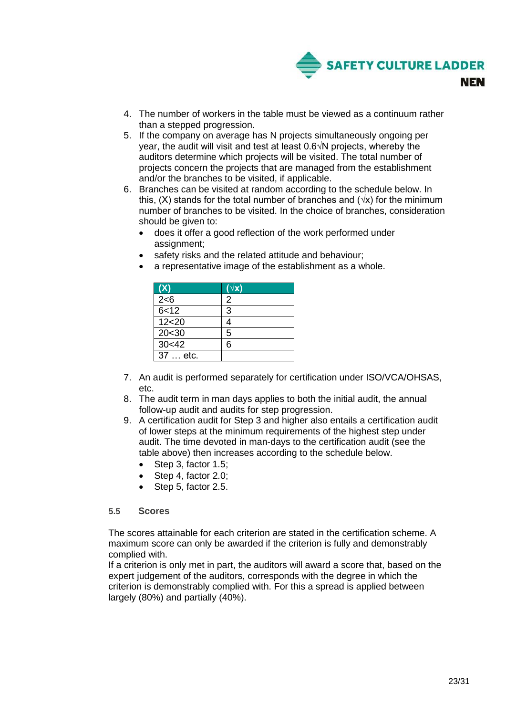

- 4. The number of workers in the table must be viewed as a continuum rather than a stepped progression.
- 5. If the company on average has N projects simultaneously ongoing per year, the audit will visit and test at least 0.6√N projects, whereby the auditors determine which projects will be visited. The total number of projects concern the projects that are managed from the establishment and/or the branches to be visited, if applicable.
- 6. Branches can be visited at random according to the schedule below. In this, (X) stands for the total number of branches and ( $\sqrt{x}$ ) for the minimum number of branches to be visited. In the choice of branches, consideration should be given to:
	- does it offer a good reflection of the work performed under assignment;
	- safety risks and the related attitude and behaviour;
	- a representative image of the establishment as a whole.

| (X)      | $(\sqrt{\mathsf{x}})$ |
|----------|-----------------------|
| 2 < 6    | 2                     |
| 6 < 12   | 3                     |
| 12<20    |                       |
| 20<30    | 5                     |
| 30<42    | հ                     |
| 37  etc. |                       |

- 7. An audit is performed separately for certification under ISO/VCA/OHSAS, etc.
- 8. The audit term in man days applies to both the initial audit, the annual follow-up audit and audits for step progression.
- 9. A certification audit for Step 3 and higher also entails a certification audit of lower steps at the minimum requirements of the highest step under audit. The time devoted in man-days to the certification audit (see the table above) then increases according to the schedule below.
	- $\bullet$  Step 3, factor 1.5;
	- Step 4, factor 2.0;
	- Step 5, factor 2.5.

# <span id="page-22-0"></span>**5.5 Scores**

The scores attainable for each criterion are stated in the certification scheme. A maximum score can only be awarded if the criterion is fully and demonstrably complied with.

If a criterion is only met in part, the auditors will award a score that, based on the expert judgement of the auditors, corresponds with the degree in which the criterion is demonstrably complied with. For this a spread is applied between largely (80%) and partially (40%).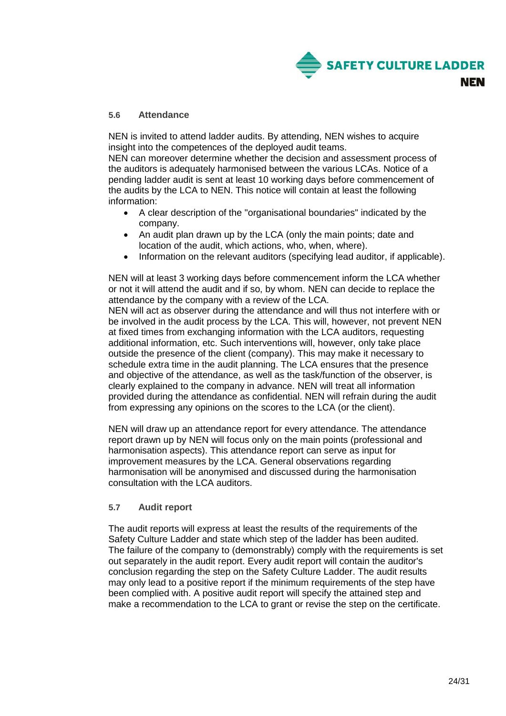

# <span id="page-23-0"></span>**5.6 Attendance**

NEN is invited to attend ladder audits. By attending, NEN wishes to acquire insight into the competences of the deployed audit teams.

NEN can moreover determine whether the decision and assessment process of the auditors is adequately harmonised between the various LCAs. Notice of a pending ladder audit is sent at least 10 working days before commencement of the audits by the LCA to NEN. This notice will contain at least the following information:

- A clear description of the "organisational boundaries" indicated by the company.
- An audit plan drawn up by the LCA (only the main points; date and location of the audit, which actions, who, when, where).
- Information on the relevant auditors (specifying lead auditor, if applicable).

NEN will at least 3 working days before commencement inform the LCA whether or not it will attend the audit and if so, by whom. NEN can decide to replace the attendance by the company with a review of the LCA.

NEN will act as observer during the attendance and will thus not interfere with or be involved in the audit process by the LCA. This will, however, not prevent NEN at fixed times from exchanging information with the LCA auditors, requesting additional information, etc. Such interventions will, however, only take place outside the presence of the client (company). This may make it necessary to schedule extra time in the audit planning. The LCA ensures that the presence and objective of the attendance, as well as the task/function of the observer, is clearly explained to the company in advance. NEN will treat all information provided during the attendance as confidential. NEN will refrain during the audit from expressing any opinions on the scores to the LCA (or the client).

NEN will draw up an attendance report for every attendance. The attendance report drawn up by NEN will focus only on the main points (professional and harmonisation aspects). This attendance report can serve as input for improvement measures by the LCA. General observations regarding harmonisation will be anonymised and discussed during the harmonisation consultation with the LCA auditors.

# <span id="page-23-1"></span>**5.7 Audit report**

The audit reports will express at least the results of the requirements of the Safety Culture Ladder and state which step of the ladder has been audited. The failure of the company to (demonstrably) comply with the requirements is set out separately in the audit report. Every audit report will contain the auditor's conclusion regarding the step on the Safety Culture Ladder. The audit results may only lead to a positive report if the minimum requirements of the step have been complied with. A positive audit report will specify the attained step and make a recommendation to the LCA to grant or revise the step on the certificate.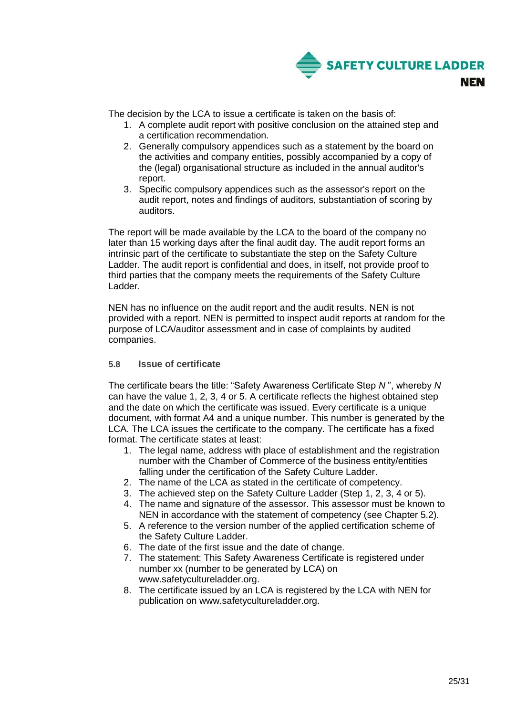

The decision by the LCA to issue a certificate is taken on the basis of:

- 1. A complete audit report with positive conclusion on the attained step and a certification recommendation.
- 2. Generally compulsory appendices such as a statement by the board on the activities and company entities, possibly accompanied by a copy of the (legal) organisational structure as included in the annual auditor's report.
- 3. Specific compulsory appendices such as the assessor's report on the audit report, notes and findings of auditors, substantiation of scoring by auditors.

The report will be made available by the LCA to the board of the company no later than 15 working days after the final audit day. The audit report forms an intrinsic part of the certificate to substantiate the step on the Safety Culture Ladder. The audit report is confidential and does, in itself, not provide proof to third parties that the company meets the requirements of the Safety Culture Ladder.

NEN has no influence on the audit report and the audit results. NEN is not provided with a report. NEN is permitted to inspect audit reports at random for the purpose of LCA/auditor assessment and in case of complaints by audited companies.

# <span id="page-24-0"></span>**5.8 Issue of certificate**

The certificate bears the title: "Safety Awareness Certificate Step *N* ", whereby *N*  can have the value 1, 2, 3, 4 or 5. A certificate reflects the highest obtained step and the date on which the certificate was issued. Every certificate is a unique document, with format A4 and a unique number. This number is generated by the LCA. The LCA issues the certificate to the company. The certificate has a fixed format. The certificate states at least:

- 1. The legal name, address with place of establishment and the registration number with the Chamber of Commerce of the business entity/entities falling under the certification of the Safety Culture Ladder.
- 2. The name of the LCA as stated in the certificate of competency.
- 3. The achieved step on the Safety Culture Ladder (Step 1, 2, 3, 4 or 5).
- 4. The name and signature of the assessor. This assessor must be known to NEN in accordance with the statement of competency (see Chapter 5.2).
- 5. A reference to the version number of the applied certification scheme of the Safety Culture Ladder.
- 6. The date of the first issue and the date of change.
- 7. The statement: This Safety Awareness Certificate is registered under number xx (number to be generated by LCA) on www.safetycultureladder.org.
- 8. The certificate issued by an LCA is registered by the LCA with NEN for publication on www.safetycultureladder.org.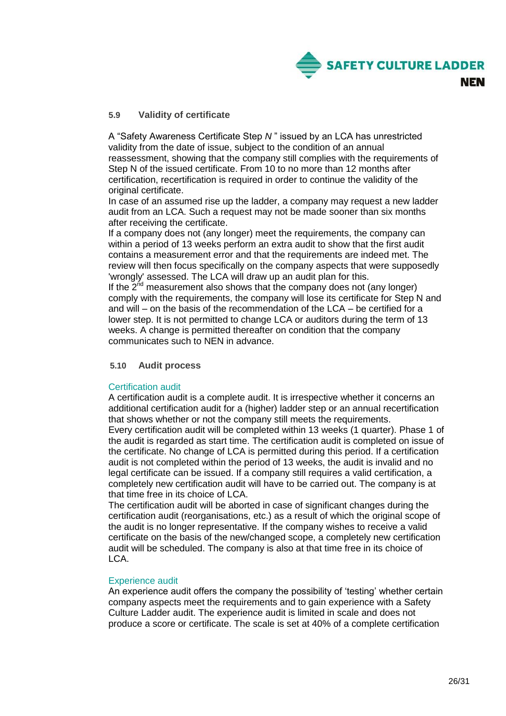

# <span id="page-25-0"></span>**5.9 Validity of certificate**

A "Safety Awareness Certificate Step *N* " issued by an LCA has unrestricted validity from the date of issue, subject to the condition of an annual reassessment, showing that the company still complies with the requirements of Step N of the issued certificate. From 10 to no more than 12 months after certification, recertification is required in order to continue the validity of the original certificate.

In case of an assumed rise up the ladder, a company may request a new ladder audit from an LCA. Such a request may not be made sooner than six months after receiving the certificate.

If a company does not (any longer) meet the requirements, the company can within a period of 13 weeks perform an extra audit to show that the first audit contains a measurement error and that the requirements are indeed met. The review will then focus specifically on the company aspects that were supposedly 'wrongly' assessed. The LCA will draw up an audit plan for this.

If the  $2<sup>nd</sup>$  measurement also shows that the company does not (any longer) comply with the requirements, the company will lose its certificate for Step N and and will – on the basis of the recommendation of the LCA – be certified for a lower step. It is not permitted to change LCA or auditors during the term of 13 weeks. A change is permitted thereafter on condition that the company communicates such to NEN in advance.

# <span id="page-25-1"></span>**5.10 Audit process**

# Certification audit

A certification audit is a complete audit. It is irrespective whether it concerns an additional certification audit for a (higher) ladder step or an annual recertification that shows whether or not the company still meets the requirements.

Every certification audit will be completed within 13 weeks (1 quarter). Phase 1 of the audit is regarded as start time. The certification audit is completed on issue of the certificate. No change of LCA is permitted during this period. If a certification audit is not completed within the period of 13 weeks, the audit is invalid and no legal certificate can be issued. If a company still requires a valid certification, a completely new certification audit will have to be carried out. The company is at that time free in its choice of LCA.

The certification audit will be aborted in case of significant changes during the certification audit (reorganisations, etc.) as a result of which the original scope of the audit is no longer representative. If the company wishes to receive a valid certificate on the basis of the new/changed scope, a completely new certification audit will be scheduled. The company is also at that time free in its choice of LCA.

#### Experience audit

An experience audit offers the company the possibility of 'testing' whether certain company aspects meet the requirements and to gain experience with a Safety Culture Ladder audit. The experience audit is limited in scale and does not produce a score or certificate. The scale is set at 40% of a complete certification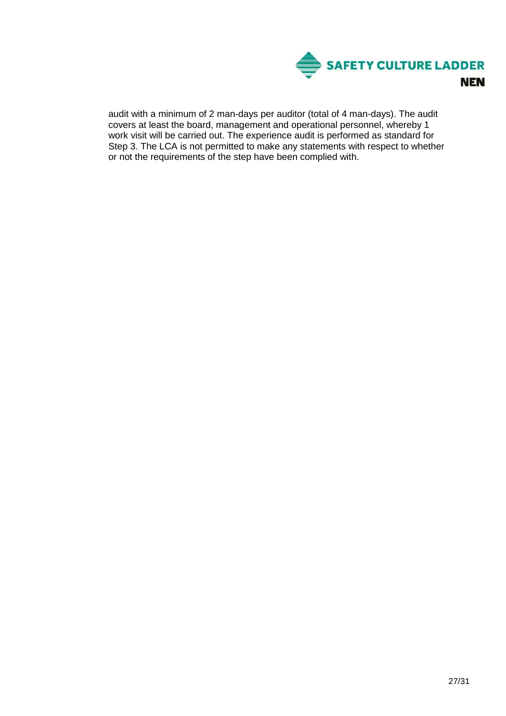

audit with a minimum of 2 man-days per auditor (total of 4 man-days). The audit covers at least the board, management and operational personnel, whereby 1 work visit will be carried out. The experience audit is performed as standard for Step 3. The LCA is not permitted to make any statements with respect to whether or not the requirements of the step have been complied with.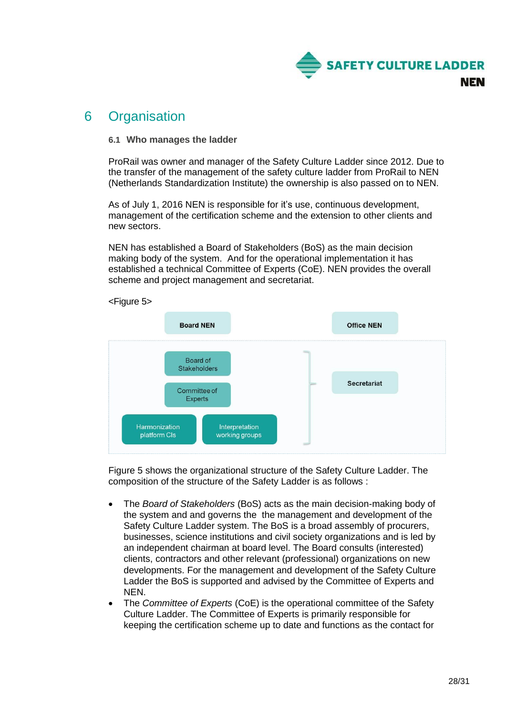

# <span id="page-27-0"></span>6 Organisation

# <span id="page-27-1"></span>**6.1 Who manages the ladder**

ProRail was owner and manager of the Safety Culture Ladder since 2012. Due to the transfer of the management of the safety culture ladder from ProRail to NEN (Netherlands Standardization Institute) the ownership is also passed on to NEN.

As of July 1, 2016 NEN is responsible for it's use, continuous development, management of the certification scheme and the extension to other clients and new sectors.

NEN has established a Board of Stakeholders (BoS) as the main decision making body of the system. And for the operational implementation it has established a technical Committee of Experts (CoE). NEN provides the overall scheme and project management and secretariat.



Figure 5 shows the organizational structure of the Safety Culture Ladder. The composition of the structure of the Safety Ladder is as follows :

- The *Board of Stakeholders* (BoS) acts as the main decision-making body of the system and and governs the the management and development of the Safety Culture Ladder system. The BoS is a broad assembly of procurers, businesses, science institutions and civil society organizations and is led by an independent chairman at board level. The Board consults (interested) clients, contractors and other relevant (professional) organizations on new developments. For the management and development of the Safety Culture Ladder the BoS is supported and advised by the Committee of Experts and NEN.
- The *Committee of Experts* (CoE) is the operational committee of the Safety Culture Ladder. The Committee of Experts is primarily responsible for keeping the certification scheme up to date and functions as the contact for
- 28/31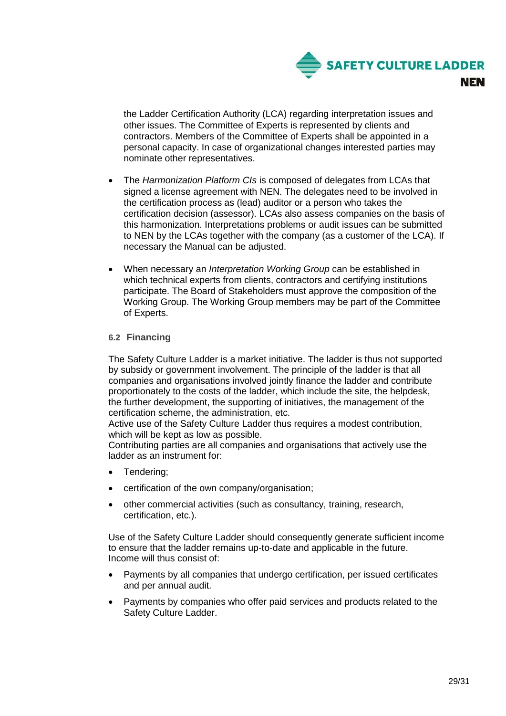

the Ladder Certification Authority (LCA) regarding interpretation issues and other issues. The Committee of Experts is represented by clients and contractors. Members of the Committee of Experts shall be appointed in a personal capacity. In case of organizational changes interested parties may nominate other representatives.

- The *Harmonization Platform CIs* is composed of delegates from LCAs that signed a license agreement with NEN. The delegates need to be involved in the certification process as (lead) auditor or a person who takes the certification decision (assessor). LCAs also assess companies on the basis of this harmonization. Interpretations problems or audit issues can be submitted to NEN by the LCAs together with the company (as a customer of the LCA). If necessary the Manual can be adjusted.
- When necessary an *Interpretation Working Group* can be established in which technical experts from clients, contractors and certifying institutions participate. The Board of Stakeholders must approve the composition of the Working Group. The Working Group members may be part of the Committee of Experts.

# <span id="page-28-0"></span>**6.2 Financing**

The Safety Culture Ladder is a market initiative. The ladder is thus not supported by subsidy or government involvement. The principle of the ladder is that all companies and organisations involved jointly finance the ladder and contribute proportionately to the costs of the ladder, which include the site, the helpdesk, the further development, the supporting of initiatives, the management of the certification scheme, the administration, etc.

Active use of the Safety Culture Ladder thus requires a modest contribution, which will be kept as low as possible.

Contributing parties are all companies and organisations that actively use the ladder as an instrument for:

- Tendering;
- certification of the own company/organisation;
- other commercial activities (such as consultancy, training, research, certification, etc.).

Use of the Safety Culture Ladder should consequently generate sufficient income to ensure that the ladder remains up-to-date and applicable in the future. Income will thus consist of:

- Payments by all companies that undergo certification, per issued certificates and per annual audit.
- Payments by companies who offer paid services and products related to the Safety Culture Ladder.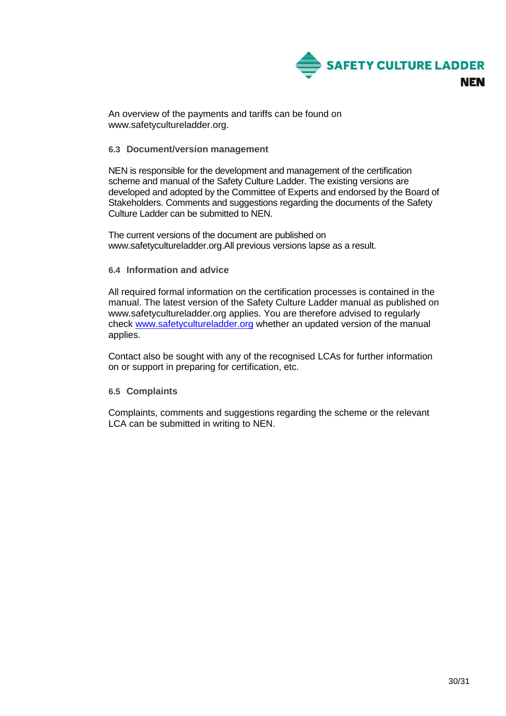

An overview of the payments and tariffs can be found on www.safetycultureladder.org.

# <span id="page-29-0"></span>**6.3 Document/version management**

NEN is responsible for the development and management of the certification scheme and manual of the Safety Culture Ladder. The existing versions are developed and adopted by the Committee of Experts and endorsed by the Board of Stakeholders. Comments and suggestions regarding the documents of the Safety Culture Ladder can be submitted to NEN.

The current versions of the document are published on www.safetycultureladder.org.All previous versions lapse as a result.

# <span id="page-29-1"></span>**6.4 Information and advice**

All required formal information on the certification processes is contained in the manual. The latest version of the Safety Culture Ladder manual as published on www.safetycultureladder.org applies. You are therefore advised to regularly check [www.safetycultureladder.org](http://www.veiligheidsladder.eu/) whether an updated version of the manual applies.

Contact also be sought with any of the recognised LCAs for further information on or support in preparing for certification, etc.

# <span id="page-29-2"></span>**6.5 Complaints**

Complaints, comments and suggestions regarding the scheme or the relevant LCA can be submitted in writing to NEN.